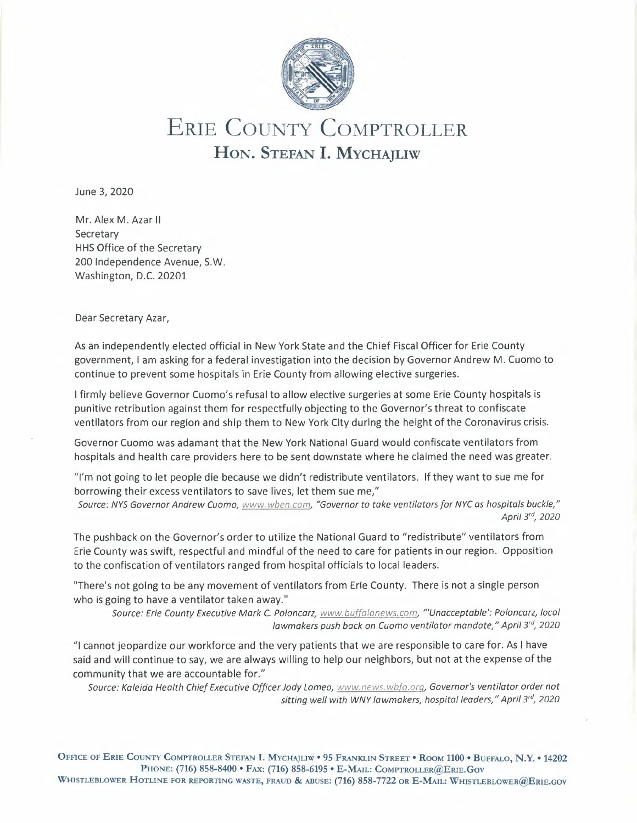

## ERIE COUNTY COMPTROLLER **HON.** STEFAN I. MYCHAJLIW

June 3, 2020

Mr. Alex M. Azar II **Secretary** HHS Office of the Secretary 200 Independence Avenue, S.W. Washington, D.C. 20201

Dear Secretary Azar,

As an independently elected official in New York State and the Chief Fiscal Officer for Erie County government, I am asking for a federal investigation into the decision by Governor Andrew M. Cuomo to continue to prevent some hospitals in Erie County from allowing elective surgeries.

I firmly believe Governor Cuomo's refusal to allow elective surgeries at some Erie County hospitals is punitive retribution against them for respectfully objecting to the Governor's threat to confiscate ventilators from our region and ship them to New York City during the height of the Coronavirus crisis.

Governor Cuomo was adamant that the New York National Guard would confiscate ventilators from hospitals and health care providers here to be sent downstate where he claimed the need was greater.

"I'm not going to let people die because we didn't redistribute ventilators. If they want to sue me for borrowing their excess ventilators to save lives, let them sue me,"

*Source: NYS Governor Andrew Cuomo, www.wben.com, "Governor to take ventilators for NYC as hospitals buckle," April 3, <sup>2020</sup>*

The pushback on the Governor's order to utilize the National Guard to "redistribute" ventilators from Erie County was swift, respectful and mindful of the need to care for patients in our region. Opposition to the confiscation of ventilators ranged from hospital officials to local leaders.

"There's not going to be any movement of ventilators from Erie County. There is not a single person who is going to have a ventilator taken away."

*Source: Erie County Executive Mark* C. *Poloncarz, www.buf alonews.com, ""Unacceptable': Poloncarz, local lawmakers push back on Cuomo ventilator mandate," April 3°, 2020* 

"I cannot jeopardize our workforce and the very patients that we are responsible to care for. As I have said and will continue to say, we are always willing to help our neighbors, but not at the expense of the community that we are accountable for."

*Source: Kaleida Health Chief Executive Officer Jody Lomeo, www.news.wbfo.org, Governor's ventilator order not sitting well with WNY lawmakers, hospital leaders," April 3°, 2020* 

OFFICE OF ERIE COUNTY COMPTROLLER STEFAN I. MYCHAJLIW • 95 FRANKLIN STREET ° ROOM 1100 • BUFFALO, **N.Y. •** 14202 PHONE: (716) 858-8400 • FAX: (716) 858-6195 • E-MAIL.: COMPTROLLER@ERIE.GOV WHISTLEBLOWER HOTLINE FOR REPORTING WASTE, FRAUD & ABUSE: (716) 858-7722 OR E-MAIL: WHISTLEBLOWER@ERIE.GOV